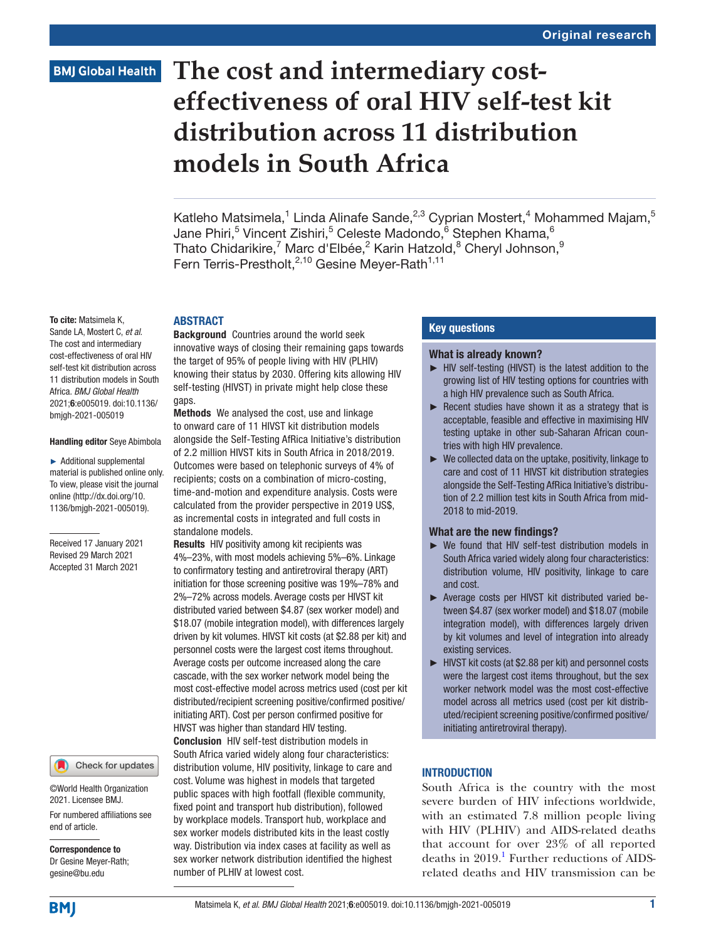# **BMJ Global Health**

# **The cost and intermediary costeffectiveness of oral HIV self-test kit distribution across 11 distribution models in South Africa**

Katleho Matsimela,<sup>1</sup> Linda Alinafe Sande,<sup>2,3</sup> Cyprian Mostert,<sup>4</sup> Mohammed Majam,<sup>5</sup> Jane Phiri,<sup>5</sup> Vincent Zishiri,<sup>5</sup> Celeste Madondo,<sup>6</sup> Stephen Khama,<sup>6</sup> Thato Chidarikire, $^7$  Marc d'Elbée, $^2$  Karin Hatzold, $^8$  Cheryl Johnson, $^9$ Fern Terris-Prestholt,<sup>2,10</sup> Gesine Meyer-Rath<sup>1,11</sup>

#### To cite: Matsimela K,

Sande LA, Mostert C, *et al*. The cost and intermediary cost-effectiveness of oral HIV self-test kit distribution across 11 distribution models in South Africa. *BMJ Global Health* 2021;6:e005019. doi:10.1136/ bmjgh-2021-005019

#### Handling editor Seye Abimbola

► Additional supplemental material is published online only. To view, please visit the journal online ([http://dx.doi.org/10.](http://dx.doi.org/10.1136/bmjgh-2021-005019) [1136/bmjgh-2021-005019](http://dx.doi.org/10.1136/bmjgh-2021-005019)).

Received 17 January 2021 Revised 29 March 2021 Accepted 31 March 2021

#### Check for updates

©World Health Organization 2021. Licensee BMJ.

For numbered affiliations see end of article.

Correspondence to Dr Gesine Meyer-Rath; gesine@bu.edu

## **ABSTRACT**

Background Countries around the world seek innovative ways of closing their remaining gaps towards the target of 95% of people living with HIV (PLHIV) knowing their status by 2030. Offering kits allowing HIV self-testing (HIVST) in private might help close these gaps.

Methods We analysed the cost, use and linkage to onward care of 11 HIVST kit distribution models

alongside the Self-Testing AfRica Initiative's distribution of 2.2 million HIVST kits in South Africa in 2018/2019. Outcomes were based on telephonic surveys of 4% of recipients; costs on a combination of micro-costing, time-and-motion and expenditure analysis. Costs were calculated from the provider perspective in 2019 US\$, as incremental costs in integrated and full costs in standalone models.

Results HIV positivity among kit recipients was 4%–23%, with most models achieving 5%–6%. Linkage to confirmatory testing and antiretroviral therapy (ART) initiation for those screening positive was 19%–78% and 2%–72% across models. Average costs per HIVST kit distributed varied between \$4.87 (sex worker model) and \$18.07 (mobile integration model), with differences largely driven by kit volumes. HIVST kit costs (at \$2.88 per kit) and personnel costs were the largest cost items throughout. Average costs per outcome increased along the care cascade, with the sex worker network model being the most cost-effective model across metrics used (cost per kit distributed/recipient screening positive/confirmed positive/ initiating ART). Cost per person confirmed positive for HIVST was higher than standard HIV testing. Conclusion HIV self-test distribution models in South Africa varied widely along four characteristics: distribution volume, HIV positivity, linkage to care and cost. Volume was highest in models that targeted public spaces with high footfall (flexible community, fixed point and transport hub distribution), followed by workplace models. Transport hub, workplace and sex worker models distributed kits in the least costly way. Distribution via index cases at facility as well as sex worker network distribution identified the highest number of PLHIV at lowest cost.

## Key questions

#### What is already known?

- ► HIV self-testing (HIVST) is the latest addition to the growing list of HIV testing options for countries with a high HIV prevalence such as South Africa.
- $\blacktriangleright$  Recent studies have shown it as a strategy that is acceptable, feasible and effective in maximising HIV testing uptake in other sub-Saharan African countries with high HIV prevalence.
- ► We collected data on the uptake, positivity, linkage to care and cost of 11 HIVST kit distribution strategies alongside the Self-Testing AfRica Initiative's distribution of 2.2 million test kits in South Africa from mid-2018 to mid-2019.

#### What are the new findings?

- ► We found that HIV self-test distribution models in South Africa varied widely along four characteristics: distribution volume, HIV positivity, linkage to care and cost.
- ► Average costs per HIVST kit distributed varied between \$4.87 (sex worker model) and \$18.07 (mobile integration model), with differences largely driven by kit volumes and level of integration into already existing services.
- ► HIVST kit costs (at \$2.88 per kit) and personnel costs were the largest cost items throughout, but the sex worker network model was the most cost-effective model across all metrics used (cost per kit distributed/recipient screening positive/confirmed positive/ initiating antiretroviral therapy).

## **INTRODUCTION**

South Africa is the country with the most severe burden of HIV infections worldwide, with an estimated 7.8 million people living with HIV (PLHIV) and AIDS-related deaths that account for over 23% of all reported deaths in 2019.<sup>1</sup> Further reductions of AIDSrelated deaths and HIV transmission can be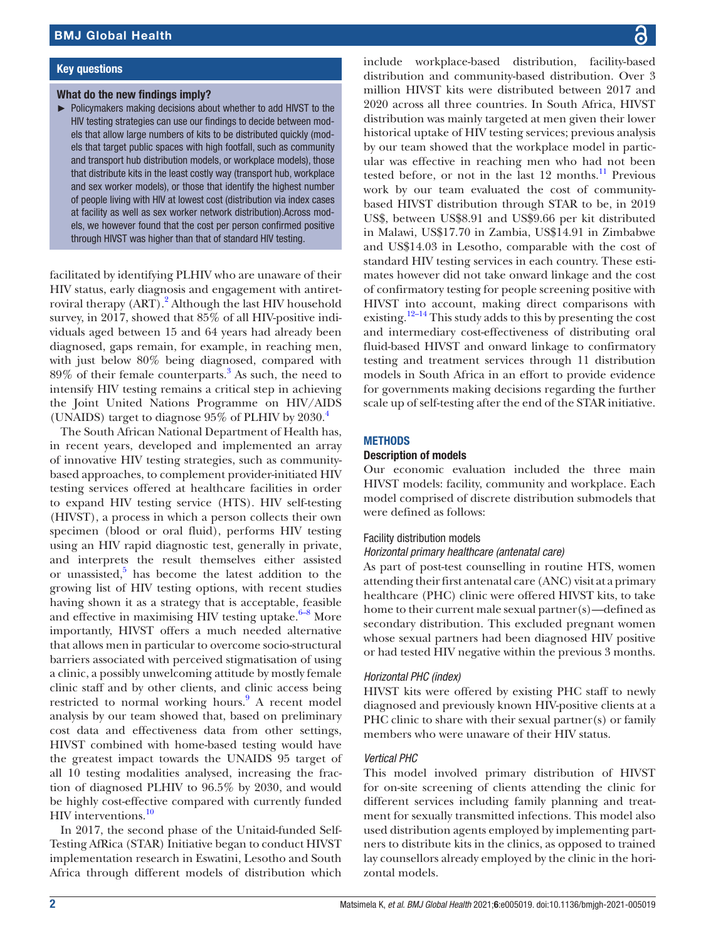#### Key questions

#### What do the new findings imply?

► Policymakers making decisions about whether to add HIVST to the HIV testing strategies can use our findings to decide between models that allow large numbers of kits to be distributed quickly (models that target public spaces with high footfall, such as community and transport hub distribution models, or workplace models), those that distribute kits in the least costly way (transport hub, workplace and sex worker models), or those that identify the highest number of people living with HIV at lowest cost (distribution via index cases at facility as well as sex worker network distribution).Across models, we however found that the cost per person confirmed positive through HIVST was higher than that of standard HIV testing.

facilitated by identifying PLHIV who are unaware of their HIV status, early diagnosis and engagement with antiret-roviral therapy (ART).<sup>[2](#page-9-0)</sup> Although the last HIV household survey, in 2017, showed that 85% of all HIV-positive individuals aged between 15 and 64 years had already been diagnosed, gaps remain, for example, in reaching men, with just below 80% being diagnosed, compared with 89% of their female counterparts.[3](#page-9-1) As such, the need to intensify HIV testing remains a critical step in achieving the Joint United Nations Programme on HIV/AIDS (UNAIDS) target to diagnose  $95\%$  of PLHIV by  $2030.<sup>4</sup>$ 

The South African National Department of Health has, in recent years, developed and implemented an array of innovative HIV testing strategies, such as communitybased approaches, to complement provider-initiated HIV testing services offered at healthcare facilities in order to expand HIV testing service (HTS). HIV self-testing (HIVST), a process in which a person collects their own specimen (blood or oral fluid), performs HIV testing using an HIV rapid diagnostic test, generally in private, and interprets the result themselves either assisted or unassisted,<sup>[5](#page-9-3)</sup> has become the latest addition to the growing list of HIV testing options, with recent studies having shown it as a strategy that is acceptable, feasible and effective in maximising HIV testing uptake. $6-8$  More importantly, HIVST offers a much needed alternative that allows men in particular to overcome socio-structural barriers associated with perceived stigmatisation of using a clinic, a possibly unwelcoming attitude by mostly female clinic staff and by other clients, and clinic access being restricted to normal working hours.<sup>[9](#page-9-5)</sup> A recent model analysis by our team showed that, based on preliminary cost data and effectiveness data from other settings, HIVST combined with home-based testing would have the greatest impact towards the UNAIDS 95 target of all 10 testing modalities analysed, increasing the fraction of diagnosed PLHIV to 96.5% by 2030, and would be highly cost-effective compared with currently funded HIV interventions.<sup>[10](#page-9-6)</sup>

In 2017, the second phase of the Unitaid-funded Self-Testing AfRica (STAR) Initiative began to conduct HIVST implementation research in Eswatini, Lesotho and South Africa through different models of distribution which

include workplace-based distribution, facility-based distribution and community-based distribution. Over 3 million HIVST kits were distributed between 2017 and 2020 across all three countries. In South Africa, HIVST distribution was mainly targeted at men given their lower historical uptake of HIV testing services; previous analysis by our team showed that the workplace model in particular was effective in reaching men who had not been tested before, or not in the last 12 months. $\frac{11}{12}$  $\frac{11}{12}$  $\frac{11}{12}$  Previous work by our team evaluated the cost of communitybased HIVST distribution through STAR to be, in 2019 US\$, between US\$8.91 and US\$9.66 per kit distributed in Malawi, US\$17.70 in Zambia, US\$14.91 in Zimbabwe and US\$14.03 in Lesotho, comparable with the cost of standard HIV testing services in each country. These estimates however did not take onward linkage and the cost of confirmatory testing for people screening positive with HIVST into account, making direct comparisons with existing.<sup>[12–14](#page-9-8)</sup> This study adds to this by presenting the cost and intermediary cost-effectiveness of distributing oral fluid-based HIVST and onward linkage to confirmatory testing and treatment services through 11 distribution models in South Africa in an effort to provide evidence for governments making decisions regarding the further scale up of self-testing after the end of the STAR initiative.

#### **METHODS**

#### Description of models

Our economic evaluation included the three main HIVST models: facility, community and workplace. Each model comprised of discrete distribution submodels that were defined as follows:

#### Facility distribution models

#### *Horizontal primary healthcare (antenatal care)*

As part of post-test counselling in routine HTS, women attending their first antenatal care (ANC) visit at a primary healthcare (PHC) clinic were offered HIVST kits, to take home to their current male sexual partner(s)—defined as secondary distribution. This excluded pregnant women whose sexual partners had been diagnosed HIV positive or had tested HIV negative within the previous 3 months.

# *Horizontal PHC (index)*

HIVST kits were offered by existing PHC staff to newly diagnosed and previously known HIV-positive clients at a PHC clinic to share with their sexual partner(s) or family members who were unaware of their HIV status.

#### *Vertical PHC*

This model involved primary distribution of HIVST for on-site screening of clients attending the clinic for different services including family planning and treatment for sexually transmitted infections. This model also used distribution agents employed by implementing partners to distribute kits in the clinics, as opposed to trained lay counsellors already employed by the clinic in the horizontal models.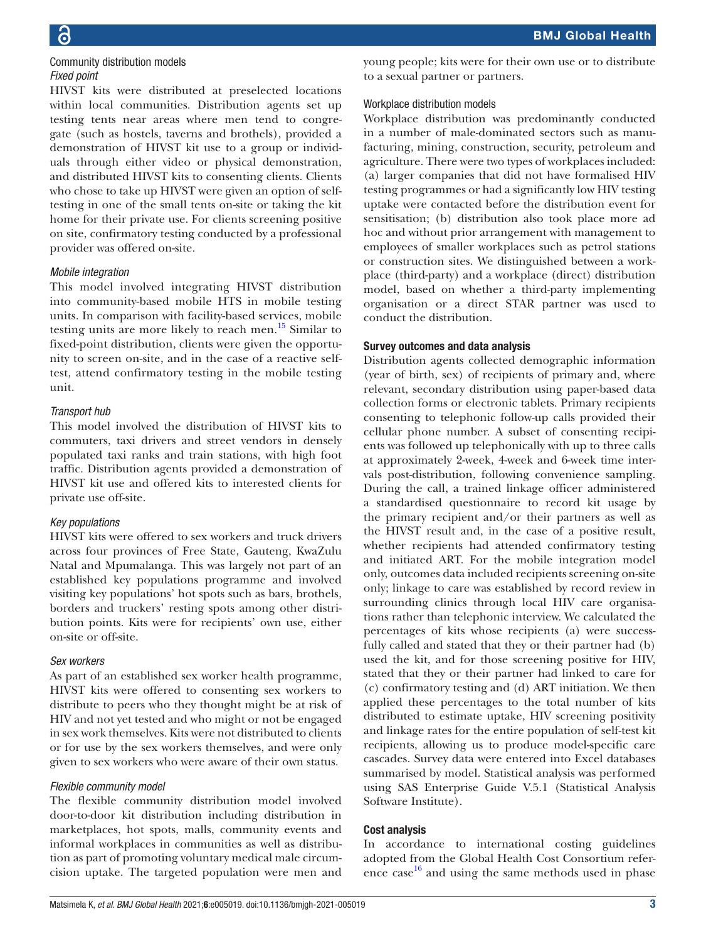# 6

#### Community distribution models *Fixed point*

HIVST kits were distributed at preselected locations within local communities. Distribution agents set up testing tents near areas where men tend to congregate (such as hostels, taverns and brothels), provided a demonstration of HIVST kit use to a group or individuals through either video or physical demonstration, and distributed HIVST kits to consenting clients. Clients who chose to take up HIVST were given an option of selftesting in one of the small tents on-site or taking the kit home for their private use. For clients screening positive on site, confirmatory testing conducted by a professional provider was offered on-site.

## *Mobile integration*

This model involved integrating HIVST distribution into community-based mobile HTS in mobile testing units. In comparison with facility-based services, mobile testing units are more likely to reach men.<sup>[15](#page-9-9)</sup> Similar to fixed-point distribution, clients were given the opportunity to screen on-site, and in the case of a reactive selftest, attend confirmatory testing in the mobile testing unit.

# *Transport hub*

This model involved the distribution of HIVST kits to commuters, taxi drivers and street vendors in densely populated taxi ranks and train stations, with high foot traffic. Distribution agents provided a demonstration of HIVST kit use and offered kits to interested clients for private use off-site.

# *Key populations*

HIVST kits were offered to sex workers and truck drivers across four provinces of Free State, Gauteng, KwaZulu Natal and Mpumalanga. This was largely not part of an established key populations programme and involved visiting key populations' hot spots such as bars, brothels, borders and truckers' resting spots among other distribution points. Kits were for recipients' own use, either on-site or off-site.

# *Sex workers*

As part of an established sex worker health programme, HIVST kits were offered to consenting sex workers to distribute to peers who they thought might be at risk of HIV and not yet tested and who might or not be engaged in sex work themselves. Kits were not distributed to clients or for use by the sex workers themselves, and were only given to sex workers who were aware of their own status.

# *Flexible community model*

The flexible community distribution model involved door-to-door kit distribution including distribution in marketplaces, hot spots, malls, community events and informal workplaces in communities as well as distribution as part of promoting voluntary medical male circumcision uptake. The targeted population were men and

young people; kits were for their own use or to distribute to a sexual partner or partners.

# Workplace distribution models

Workplace distribution was predominantly conducted in a number of male-dominated sectors such as manufacturing, mining, construction, security, petroleum and agriculture. There were two types of workplaces included: (a) larger companies that did not have formalised HIV testing programmes or had a significantly low HIV testing uptake were contacted before the distribution event for sensitisation; (b) distribution also took place more ad hoc and without prior arrangement with management to employees of smaller workplaces such as petrol stations or construction sites. We distinguished between a workplace (third-party) and a workplace (direct) distribution model, based on whether a third-party implementing organisation or a direct STAR partner was used to conduct the distribution.

# Survey outcomes and data analysis

Distribution agents collected demographic information (year of birth, sex) of recipients of primary and, where relevant, secondary distribution using paper-based data collection forms or electronic tablets. Primary recipients consenting to telephonic follow-up calls provided their cellular phone number. A subset of consenting recipients was followed up telephonically with up to three calls at approximately 2-week, 4-week and 6-week time intervals post-distribution, following convenience sampling. During the call, a trained linkage officer administered a standardised questionnaire to record kit usage by the primary recipient and/or their partners as well as the HIVST result and, in the case of a positive result, whether recipients had attended confirmatory testing and initiated ART. For the mobile integration model only, outcomes data included recipients screening on-site only; linkage to care was established by record review in surrounding clinics through local HIV care organisations rather than telephonic interview. We calculated the percentages of kits whose recipients (a) were successfully called and stated that they or their partner had (b) used the kit, and for those screening positive for HIV, stated that they or their partner had linked to care for (c) confirmatory testing and (d) ART initiation. We then applied these percentages to the total number of kits distributed to estimate uptake, HIV screening positivity and linkage rates for the entire population of self-test kit recipients, allowing us to produce model-specific care cascades. Survey data were entered into Excel databases summarised by model. Statistical analysis was performed using SAS Enterprise Guide V.5.1 (Statistical Analysis Software Institute).

# Cost analysis

In accordance to international costing guidelines adopted from the Global Health Cost Consortium reference case [16](#page-9-10) and using the same methods used in phase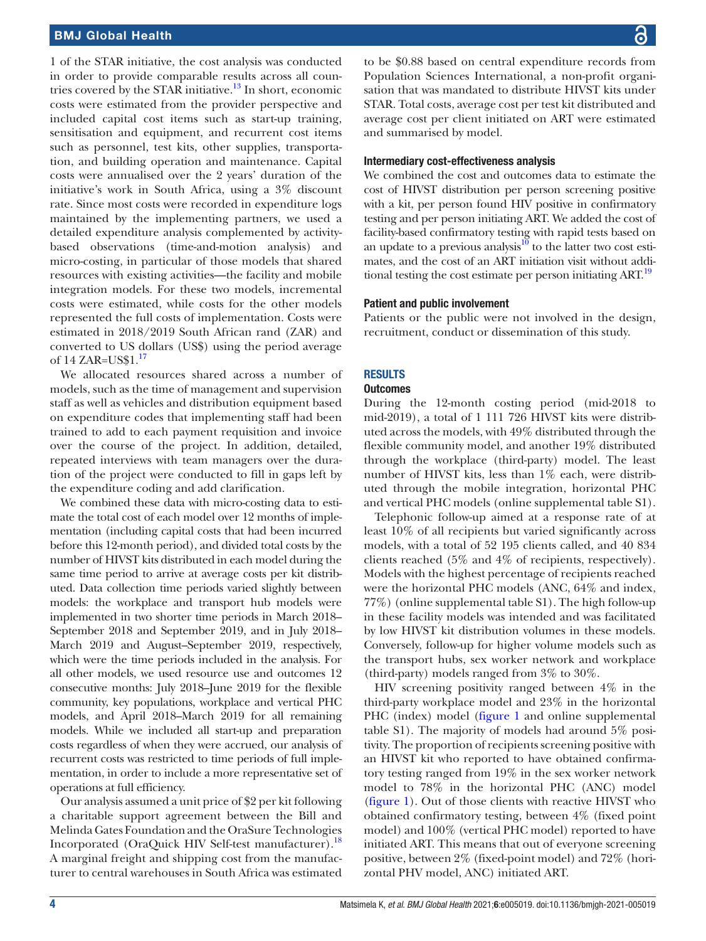1 of the STAR initiative, the cost analysis was conducted in order to provide comparable results across all coun-tries covered by the STAR initiative.<sup>[13](#page-9-11)</sup> In short, economic costs were estimated from the provider perspective and included capital cost items such as start-up training, sensitisation and equipment, and recurrent cost items such as personnel, test kits, other supplies, transportation, and building operation and maintenance. Capital costs were annualised over the 2 years' duration of the initiative's work in South Africa, using a 3% discount rate. Since most costs were recorded in expenditure logs maintained by the implementing partners, we used a detailed expenditure analysis complemented by activitybased observations (time-and-motion analysis) and micro-costing, in particular of those models that shared resources with existing activities—the facility and mobile integration models. For these two models, incremental costs were estimated, while costs for the other models represented the full costs of implementation. Costs were estimated in 2018/2019 South African rand (ZAR) and converted to US dollars (US\$) using the period average of  $14$  ZAR=US\$ $1<sup>17</sup>$  $1<sup>17</sup>$  $1<sup>17</sup>$ 

We allocated resources shared across a number of models, such as the time of management and supervision staff as well as vehicles and distribution equipment based on expenditure codes that implementing staff had been trained to add to each payment requisition and invoice over the course of the project. In addition, detailed, repeated interviews with team managers over the duration of the project were conducted to fill in gaps left by the expenditure coding and add clarification.

We combined these data with micro-costing data to estimate the total cost of each model over 12 months of implementation (including capital costs that had been incurred before this 12-month period), and divided total costs by the number of HIVST kits distributed in each model during the same time period to arrive at average costs per kit distributed. Data collection time periods varied slightly between models: the workplace and transport hub models were implemented in two shorter time periods in March 2018– September 2018 and September 2019, and in July 2018– March 2019 and August–September 2019, respectively, which were the time periods included in the analysis. For all other models, we used resource use and outcomes 12 consecutive months: July 2018–June 2019 for the flexible community, key populations, workplace and vertical PHC models, and April 2018–March 2019 for all remaining models. While we included all start-up and preparation costs regardless of when they were accrued, our analysis of recurrent costs was restricted to time periods of full implementation, in order to include a more representative set of operations at full efficiency.

Our analysis assumed a unit price of \$2 per kit following a charitable support agreement between the Bill and Melinda Gates Foundation and the OraSure Technologies Incorporated (OraQuick HIV Self-test manufacturer).[18](#page-9-13) A marginal freight and shipping cost from the manufacturer to central warehouses in South Africa was estimated to be \$0.88 based on central expenditure records from Population Sciences International, a non-profit organisation that was mandated to distribute HIVST kits under STAR. Total costs, average cost per test kit distributed and average cost per client initiated on ART were estimated and summarised by model.

#### Intermediary cost-effectiveness analysis

We combined the cost and outcomes data to estimate the cost of HIVST distribution per person screening positive with a kit, per person found HIV positive in confirmatory testing and per person initiating ART. We added the cost of facility-based confirmatory testing with rapid tests based on an update to a previous analysis $10$  to the latter two cost estimates, and the cost of an ART initiation visit without additional testing the cost estimate per person initiating ART.<sup>19</sup>

#### Patient and public involvement

Patients or the public were not involved in the design, recruitment, conduct or dissemination of this study.

#### **RESULTS**

#### **Outcomes**

During the 12-month costing period (mid-2018 to mid-2019), a total of 1 111 726 HIVST kits were distributed across the models, with 49% distributed through the flexible community model, and another 19% distributed through the workplace (third-party) model. The least number of HIVST kits, less than 1% each, were distributed through the mobile integration, horizontal PHC and vertical PHC models ([online supplemental table S1](https://dx.doi.org/10.1136/bmjgh-2021-005019)).

Telephonic follow-up aimed at a response rate of at least 10% of all recipients but varied significantly across models, with a total of 52 195 clients called, and 40 834 clients reached (5% and 4% of recipients, respectively). Models with the highest percentage of recipients reached were the horizontal PHC models (ANC, 64% and index, 77%) [\(online supplemental table S1](https://dx.doi.org/10.1136/bmjgh-2021-005019)). The high follow-up in these facility models was intended and was facilitated by low HIVST kit distribution volumes in these models. Conversely, follow-up for higher volume models such as the transport hubs, sex worker network and workplace (third-party) models ranged from 3% to 30%.

HIV screening positivity ranged between 4% in the third-party workplace model and 23% in the horizontal PHC (index) model [\(figure](#page-4-0) 1 and [online supplemental](https://dx.doi.org/10.1136/bmjgh-2021-005019) [table S1](https://dx.doi.org/10.1136/bmjgh-2021-005019)). The majority of models had around 5% positivity. The proportion of recipients screening positive with an HIVST kit who reported to have obtained confirmatory testing ranged from 19% in the sex worker network model to 78% in the horizontal PHC (ANC) model [\(figure](#page-4-0) 1). Out of those clients with reactive HIVST who obtained confirmatory testing, between 4% (fixed point model) and 100% (vertical PHC model) reported to have initiated ART. This means that out of everyone screening positive, between 2% (fixed-point model) and 72% (horizontal PHV model, ANC) initiated ART.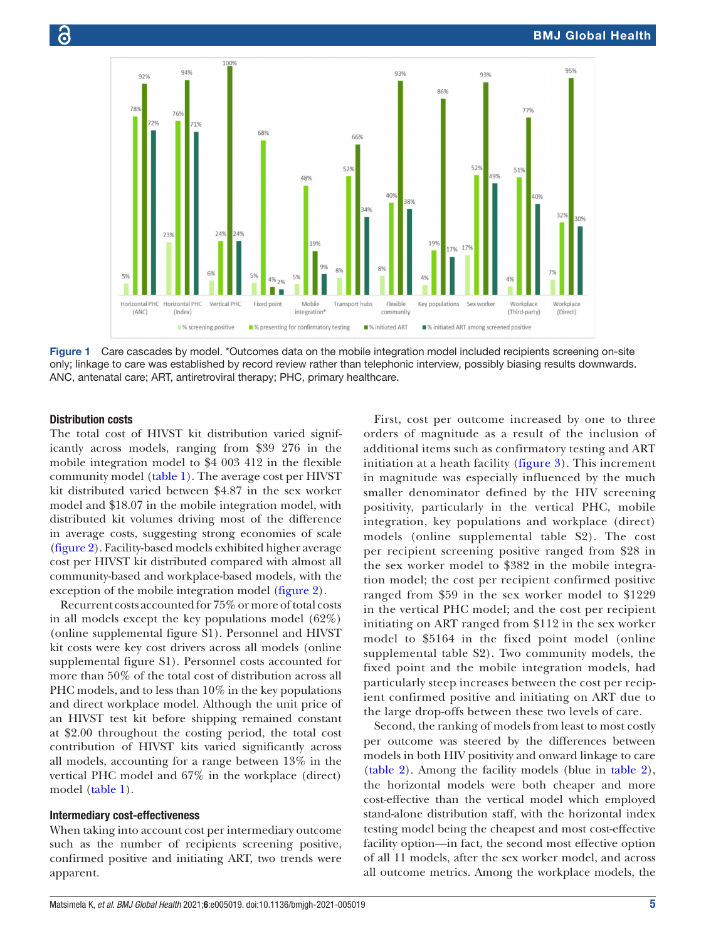

<span id="page-4-0"></span>Figure 1 Care cascades by model. \*Outcomes data on the mobile integration model included recipients screening on-site only; linkage to care was established by record review rather than telephonic interview, possibly biasing results downwards. ANC, antenatal care; ART, antiretroviral therapy; PHC, primary healthcare.

## Distribution costs

The total cost of HIVST kit distribution varied significantly across models, ranging from \$39 276 in the mobile integration model to \$4 003 412 in the flexible community model [\(table](#page-5-0) 1). The average cost per HIVST kit distributed varied between \$4.87 in the sex worker model and \$18.07 in the mobile integration model, with distributed kit volumes driving most of the difference in average costs, suggesting strong economies of scale [\(figure](#page-6-0) 2). Facility-based models exhibited higher average cost per HIVST kit distributed compared with almost all community-based and workplace-based models, with the exception of the mobile integration model ([figure](#page-6-0) 2).

Recurrent costs accounted for 75% or more of total costs in all models except the key populations model (62%) [\(online supplemental figure S1\)](https://dx.doi.org/10.1136/bmjgh-2021-005019). Personnel and HIVST kit costs were key cost drivers across all models [\(online](https://dx.doi.org/10.1136/bmjgh-2021-005019) [supplemental figure S1\)](https://dx.doi.org/10.1136/bmjgh-2021-005019). Personnel costs accounted for more than 50% of the total cost of distribution across all PHC models, and to less than 10% in the key populations and direct workplace model. Although the unit price of an HIVST test kit before shipping remained constant at \$2.00 throughout the costing period, the total cost contribution of HIVST kits varied significantly across all models, accounting for a range between 13% in the vertical PHC model and 67% in the workplace (direct) model ([table](#page-5-0) 1).

#### Intermediary cost-effectiveness

When taking into account cost per intermediary outcome such as the number of recipients screening positive, confirmed positive and initiating ART, two trends were apparent.

First, cost per outcome increased by one to three orders of magnitude as a result of the inclusion of additional items such as confirmatory testing and ART initiation at a heath facility ([figure](#page-6-1) 3). This increment in magnitude was especially influenced by the much smaller denominator defined by the HIV screening positivity, particularly in the vertical PHC, mobile integration, key populations and workplace (direct) models ([online supplemental table S2](https://dx.doi.org/10.1136/bmjgh-2021-005019)). The cost per recipient screening positive ranged from \$28 in the sex worker model to \$382 in the mobile integration model; the cost per recipient confirmed positive ranged from \$59 in the sex worker model to \$1229 in the vertical PHC model; and the cost per recipient initiating on ART ranged from \$112 in the sex worker model to \$5164 in the fixed point model ([online](https://dx.doi.org/10.1136/bmjgh-2021-005019) [supplemental table S2](https://dx.doi.org/10.1136/bmjgh-2021-005019)). Two community models, the fixed point and the mobile integration models, had particularly steep increases between the cost per recipient confirmed positive and initiating on ART due to the large drop-offs between these two levels of care.

Second, the ranking of models from least to most costly per outcome was steered by the differences between models in both HIV positivity and onward linkage to care [\(table](#page-7-0) 2). Among the facility models (blue in [table](#page-7-0) 2), the horizontal models were both cheaper and more cost-effective than the vertical model which employed stand-alone distribution staff, with the horizontal index testing model being the cheapest and most cost-effective facility option—in fact, the second most effective option of all 11 models, after the sex worker model, and across all outcome metrics. Among the workplace models, the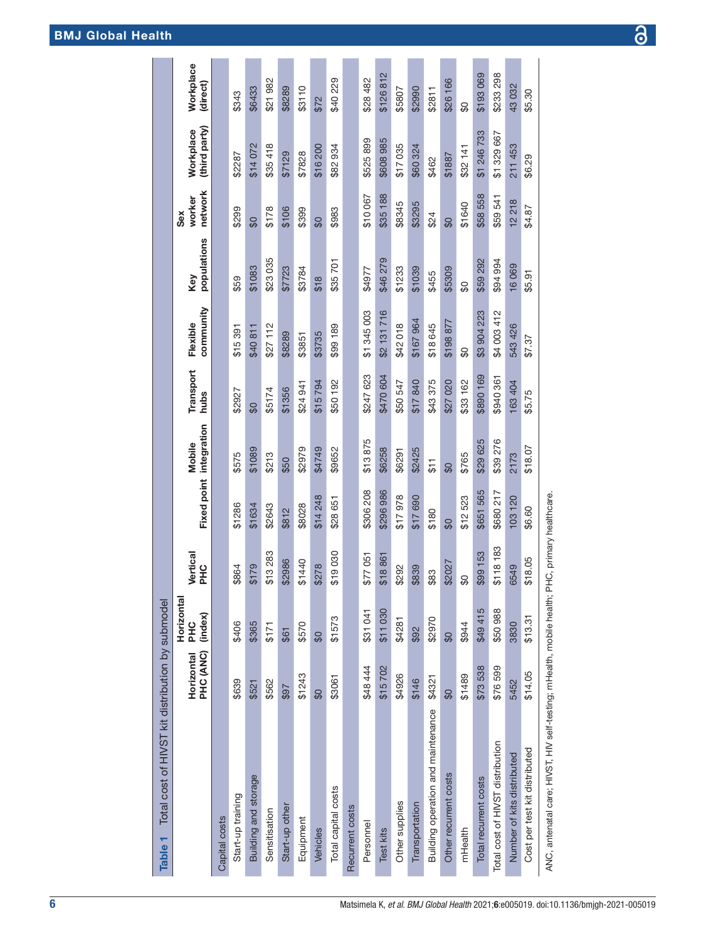# BMJ Global Health

| Total cost of HIVST kit distribution by submodel<br>Table <sub>1</sub>                                                                                                                                                        |                         |                              |                       |                          |                          |                          |                       |                    |                          |                            |                       |
|-------------------------------------------------------------------------------------------------------------------------------------------------------------------------------------------------------------------------------|-------------------------|------------------------------|-----------------------|--------------------------|--------------------------|--------------------------|-----------------------|--------------------|--------------------------|----------------------------|-----------------------|
|                                                                                                                                                                                                                               | PHC (ANC)<br>Horizontal | Horizontal<br>(index)<br>PHC | Vertical<br>PHC       | <b>Fixed point</b>       | integration<br>Mobile    | <b>Transport</b><br>hubs | community<br>Flexible | populations<br>Key | network<br>worker<br>Sex | (third party)<br>Workplace | Workplace<br>(direct) |
| Capital costs                                                                                                                                                                                                                 |                         |                              |                       |                          |                          |                          |                       |                    |                          |                            |                       |
| Start-up training                                                                                                                                                                                                             | \$639                   | \$406                        | \$864                 | \$1286                   | \$575                    | \$2927                   | \$15 391              | \$59               | \$299                    | \$2287                     | \$343                 |
| Building and storage                                                                                                                                                                                                          | \$521                   | \$365                        | \$179                 | \$1634                   | \$1089                   | $\overline{\mathbf{60}}$ | \$40811               | \$1083             | \$                       | \$14072                    | \$6433                |
| Sensitisation                                                                                                                                                                                                                 | \$562                   | \$171                        | \$13283               | \$2643                   | \$213                    | \$5174                   | \$27112               | \$23035            | \$178                    | \$35418                    | \$21982               |
| Start-up other                                                                                                                                                                                                                | \$97                    | \$61                         | \$2986                | \$812                    | \$50                     | \$1356                   | \$8289                | \$7723             | \$106                    | \$7129                     | \$8289                |
| Equipment                                                                                                                                                                                                                     | \$1243                  | \$570                        | \$1440                | \$8028                   | \$2979                   | \$24 941                 | \$3851                | \$3784             | \$399                    | \$7828                     | \$3110                |
| Vehicles                                                                                                                                                                                                                      | \$                      | $\overline{\mathcal{L}}$     | \$278                 | \$14 248                 | \$4749                   | \$15794                  | \$3735                | \$18               | \$                       | \$16200                    | \$72                  |
| Total capital costs                                                                                                                                                                                                           | \$3061                  | \$1573                       | \$19030               | \$28651                  | \$9652                   | \$50 192                 | \$99 189              | \$35701            | \$983                    | \$82934                    | \$40 229              |
| Recurrent costs                                                                                                                                                                                                               |                         |                              |                       |                          |                          |                          |                       |                    |                          |                            |                       |
| Personnel                                                                                                                                                                                                                     | \$48 444                | \$31041                      | \$77051               | \$306 208                | \$13875                  | \$247 623                | \$1 345 003           | \$4977             | \$10 067                 | \$525899                   | \$28482               |
| <b>Test kits</b>                                                                                                                                                                                                              | \$15702                 | \$11030                      | \$18861               | \$296986                 | \$6258                   | \$470 604                | \$2 131 716           | \$46279            | \$35 188                 | \$608985                   | \$126812              |
| Other supplies                                                                                                                                                                                                                | \$4926                  | \$4281                       | \$292                 | \$17978                  | \$6291                   | \$50547                  | \$42018               | \$1233             | \$8345                   | \$17035                    | \$5807                |
| Transportation                                                                                                                                                                                                                | \$146                   | \$92                         | \$839                 | \$17 690                 | \$2425                   | \$17840                  | \$167964              | \$1039             | \$3295                   | \$60324                    | \$2990                |
| Building operation and maintenance                                                                                                                                                                                            | \$4321                  | \$2970                       | \$83                  | \$180                    | 51                       | \$43375                  | \$18 645              | \$455              | \$24                     | \$462                      | \$2811                |
| Other recurrent costs                                                                                                                                                                                                         | $\frac{6}{2}$           | $\overline{\mathbf{60}}$     | \$2027                | $\overline{\mathbf{60}}$ | $\overline{\mathbf{60}}$ | \$27 020                 | \$198877              | \$5309             | \$0                      | \$1887                     | \$26 166              |
| mHealth                                                                                                                                                                                                                       | \$1489                  | \$944                        | \$O                   | \$12523                  | \$765                    | \$33 162                 | SO                    | SO                 | \$1640                   | \$32 141                   | \$O                   |
| Total recurrent costs                                                                                                                                                                                                         | \$73538                 | \$49415                      | \$99 153              | \$651 565                | \$29 625                 | \$890 169                | \$3 904 223           | \$59 292           | \$58 558                 | \$1 246 733                | \$193069              |
| Total cost of HIVST distribution                                                                                                                                                                                              | \$76599                 | \$50988                      | \$118 183             | \$680 217                | \$39 276                 | \$940 361                | \$4 003 412           | \$94 994           | \$59 541                 | \$1329667                  | \$233 298             |
| Number of kits distributed                                                                                                                                                                                                    | 5452                    | 3830                         | 6549                  | 103 120                  | 2173                     | 163 404                  | 543 426               | 16069              | 12218                    | 211 453                    | 43032                 |
| Cost per test kit distributed                                                                                                                                                                                                 | \$14.05                 | \$13.31                      | \$18.05               | \$6.60                   | \$18.07                  | \$5.75                   | \$7.37                | \$5.91             | \$4.87                   | \$6.29                     | \$5.30                |
| which categories and contract the contract of the contract of the contract of the contract of the contract of the contract of the contract of the contract of the contract of the contract of the contract of the contract of |                         |                              | aun ariman baalthaara |                          |                          |                          |                       |                    |                          |                            |                       |

testing; mHealth, mobile health; PHC, primary healthcare. ANC, antenatal care; HIVST, HIV self-testing; mHealth, mobile health; PHC, primary healthcare. $\frac{1}{2}$ antenatal care: HIVS I, HIV j<br>≷<br><

 $\overline{\partial}$ 

<span id="page-5-0"></span>6 Matsimela K, *et al*. *BMJ Global Health* 2021; 6:e005019. doi:10.1136/bmjgh-2021-005019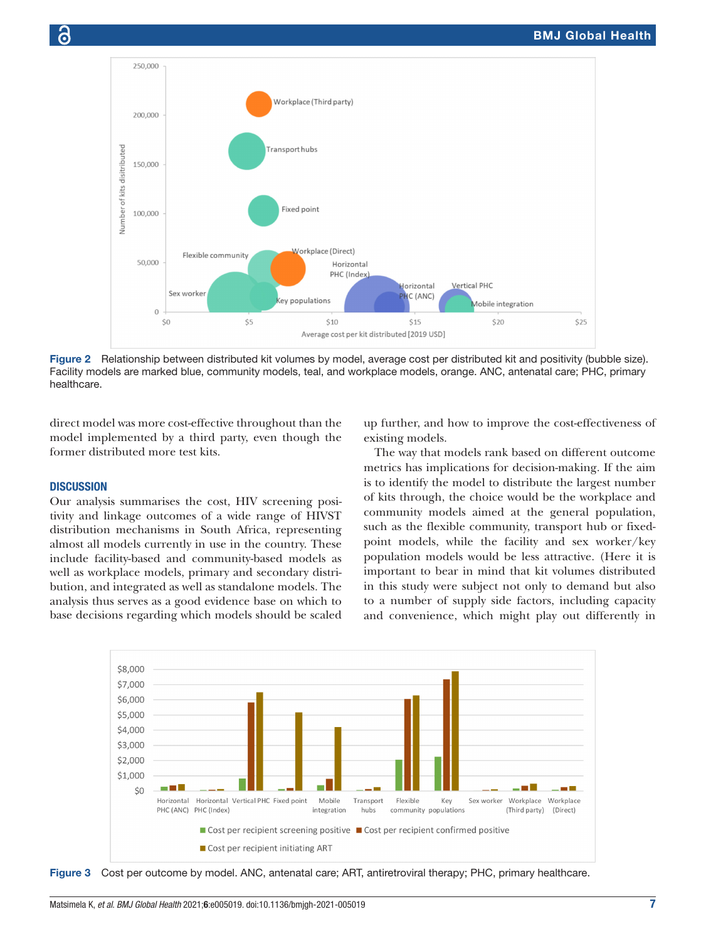

<span id="page-6-0"></span>Figure 2 Relationship between distributed kit volumes by model, average cost per distributed kit and positivity (bubble size). Facility models are marked blue, community models, teal, and workplace models, orange. ANC, antenatal care; PHC, primary healthcare.

direct model was more cost-effective throughout than the model implemented by a third party, even though the former distributed more test kits.

#### **DISCUSSION**

Our analysis summarises the cost, HIV screening positivity and linkage outcomes of a wide range of HIVST distribution mechanisms in South Africa, representing almost all models currently in use in the country. These include facility-based and community-based models as well as workplace models, primary and secondary distribution, and integrated as well as standalone models. The analysis thus serves as a good evidence base on which to base decisions regarding which models should be scaled

up further, and how to improve the cost-effectiveness of existing models.

The way that models rank based on different outcome metrics has implications for decision-making. If the aim is to identify the model to distribute the largest number of kits through, the choice would be the workplace and community models aimed at the general population, such as the flexible community, transport hub or fixedpoint models, while the facility and sex worker/key population models would be less attractive. (Here it is important to bear in mind that kit volumes distributed in this study were subject not only to demand but also to a number of supply side factors, including capacity and convenience, which might play out differently in



<span id="page-6-1"></span>Figure 3 Cost per outcome by model. ANC, antenatal care; ART, antiretroviral therapy; PHC, primary healthcare.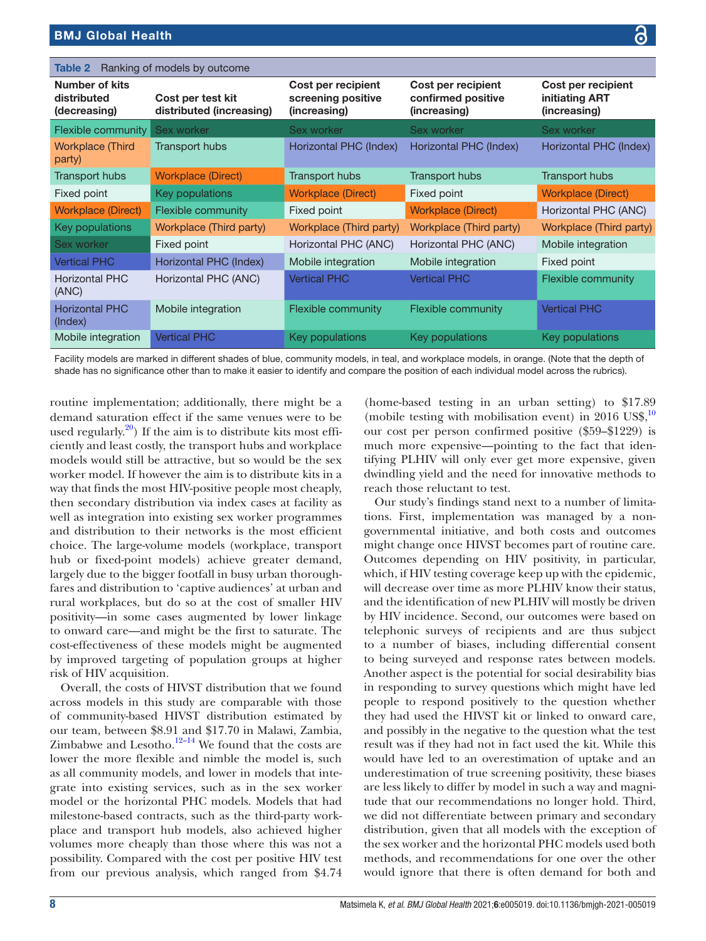<span id="page-7-0"></span>

| Table 2                                       | Ranking of models by outcome                  |                                                          |                                                          |                                                      |
|-----------------------------------------------|-----------------------------------------------|----------------------------------------------------------|----------------------------------------------------------|------------------------------------------------------|
| Number of kits<br>distributed<br>(decreasing) | Cost per test kit<br>distributed (increasing) | Cost per recipient<br>screening positive<br>(increasing) | Cost per recipient<br>confirmed positive<br>(increasing) | Cost per recipient<br>initiating ART<br>(increasing) |
| Flexible community                            | Sex worker                                    | Sex worker                                               | Sex worker                                               | Sex worker                                           |
| <b>Workplace (Third)</b><br>party)            | <b>Transport hubs</b>                         | Horizontal PHC (Index)                                   | Horizontal PHC (Index)                                   | Horizontal PHC (Index)                               |
| <b>Transport hubs</b>                         | <b>Workplace (Direct)</b>                     | Transport hubs                                           | Transport hubs                                           | <b>Transport hubs</b>                                |
| Fixed point                                   | Key populations                               | <b>Workplace (Direct)</b>                                | Fixed point                                              | <b>Workplace (Direct)</b>                            |
| <b>Workplace (Direct)</b>                     | Flexible community                            | Fixed point                                              | <b>Workplace (Direct)</b>                                | Horizontal PHC (ANC)                                 |
| Key populations                               | Workplace (Third party)                       | Workplace (Third party)                                  | Workplace (Third party)                                  | Workplace (Third party)                              |
| Sex worker                                    | Fixed point                                   | Horizontal PHC (ANC)                                     | Horizontal PHC (ANC)                                     | Mobile integration                                   |
| <b>Vertical PHC</b>                           | Horizontal PHC (Index)                        | Mobile integration                                       | Mobile integration                                       | Fixed point                                          |
| <b>Horizontal PHC</b><br>(ANC)                | Horizontal PHC (ANC)                          | <b>Vertical PHC</b>                                      | <b>Vertical PHC</b>                                      | <b>Flexible community</b>                            |
| <b>Horizontal PHC</b><br>(Index)              | Mobile integration                            | Flexible community                                       | <b>Flexible community</b>                                | <b>Vertical PHC</b>                                  |
| Mobile integration                            | <b>Vertical PHC</b>                           | Key populations                                          | Key populations                                          | Key populations                                      |

Facility models are marked in different shades of blue, community models, in teal, and workplace models, in orange. (Note that the depth of shade has no significance other than to make it easier to identify and compare the position of each individual model across the rubrics).

routine implementation; additionally, there might be a demand saturation effect if the same venues were to be used regularly. $^{20}$ ) If the aim is to distribute kits most efficiently and least costly, the transport hubs and workplace models would still be attractive, but so would be the sex worker model. If however the aim is to distribute kits in a way that finds the most HIV-positive people most cheaply, then secondary distribution via index cases at facility as well as integration into existing sex worker programmes and distribution to their networks is the most efficient choice. The large-volume models (workplace, transport hub or fixed-point models) achieve greater demand, largely due to the bigger footfall in busy urban thoroughfares and distribution to 'captive audiences' at urban and rural workplaces, but do so at the cost of smaller HIV positivity—in some cases augmented by lower linkage to onward care—and might be the first to saturate. The cost-effectiveness of these models might be augmented by improved targeting of population groups at higher risk of HIV acquisition.

Overall, the costs of HIVST distribution that we found across models in this study are comparable with those of community-based HIVST distribution estimated by our team, between \$8.91 and \$17.70 in Malawi, Zambia, Zimbabwe and Lesotho. $12-14$  We found that the costs are lower the more flexible and nimble the model is, such as all community models, and lower in models that integrate into existing services, such as in the sex worker model or the horizontal PHC models. Models that had milestone-based contracts, such as the third-party workplace and transport hub models, also achieved higher volumes more cheaply than those where this was not a possibility. Compared with the cost per positive HIV test from our previous analysis, which ranged from \$4.74

(home-based testing in an urban setting) to \$17.89 (mobile testing with mobilisation event) in 2016 US\$, $^{10}$  $^{10}$  $^{10}$ our cost per person confirmed positive (\$59–\$1229) is much more expensive—pointing to the fact that identifying PLHIV will only ever get more expensive, given dwindling yield and the need for innovative methods to reach those reluctant to test.

Our study's findings stand next to a number of limitations. First, implementation was managed by a nongovernmental initiative, and both costs and outcomes might change once HIVST becomes part of routine care. Outcomes depending on HIV positivity, in particular, which, if HIV testing coverage keep up with the epidemic, will decrease over time as more PLHIV know their status, and the identification of new PLHIV will mostly be driven by HIV incidence. Second, our outcomes were based on telephonic surveys of recipients and are thus subject to a number of biases, including differential consent to being surveyed and response rates between models. Another aspect is the potential for social desirability bias in responding to survey questions which might have led people to respond positively to the question whether they had used the HIVST kit or linked to onward care, and possibly in the negative to the question what the test result was if they had not in fact used the kit. While this would have led to an overestimation of uptake and an underestimation of true screening positivity, these biases are less likely to differ by model in such a way and magnitude that our recommendations no longer hold. Third, we did not differentiate between primary and secondary distribution, given that all models with the exception of the sex worker and the horizontal PHC models used both methods, and recommendations for one over the other would ignore that there is often demand for both and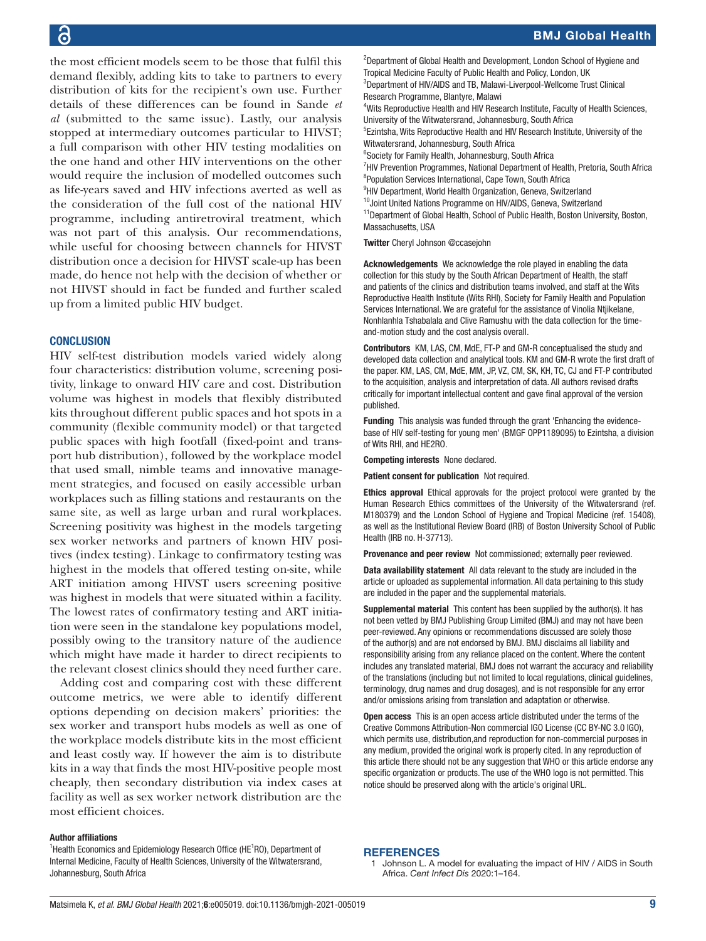the most efficient models seem to be those that fulfil this demand flexibly, adding kits to take to partners to every distribution of kits for the recipient's own use. Further details of these differences can be found in Sande *et al* (submitted to the same issue). Lastly, our analysis stopped at intermediary outcomes particular to HIVST; a full comparison with other HIV testing modalities on the one hand and other HIV interventions on the other would require the inclusion of modelled outcomes such as life-years saved and HIV infections averted as well as the consideration of the full cost of the national HIV programme, including antiretroviral treatment, which was not part of this analysis. Our recommendations, while useful for choosing between channels for HIVST distribution once a decision for HIVST scale-up has been made, do hence not help with the decision of whether or not HIVST should in fact be funded and further scaled up from a limited public HIV budget.

#### **CONCLUSION**

HIV self-test distribution models varied widely along four characteristics: distribution volume, screening positivity, linkage to onward HIV care and cost. Distribution volume was highest in models that flexibly distributed kits throughout different public spaces and hot spots in a community (flexible community model) or that targeted public spaces with high footfall (fixed-point and transport hub distribution), followed by the workplace model that used small, nimble teams and innovative management strategies, and focused on easily accessible urban workplaces such as filling stations and restaurants on the same site, as well as large urban and rural workplaces. Screening positivity was highest in the models targeting sex worker networks and partners of known HIV positives (index testing). Linkage to confirmatory testing was highest in the models that offered testing on-site, while ART initiation among HIVST users screening positive was highest in models that were situated within a facility. The lowest rates of confirmatory testing and ART initiation were seen in the standalone key populations model, possibly owing to the transitory nature of the audience which might have made it harder to direct recipients to the relevant closest clinics should they need further care.

Adding cost and comparing cost with these different outcome metrics, we were able to identify different options depending on decision makers' priorities: the sex worker and transport hubs models as well as one of the workplace models distribute kits in the most efficient and least costly way. If however the aim is to distribute kits in a way that finds the most HIV-positive people most cheaply, then secondary distribution via index cases at facility as well as sex worker network distribution are the most efficient choices.

#### Author affiliations

<sup>1</sup> Health Economics and Epidemiology Research Office (HE ${}^{1}$ RO), Department of Internal Medicine, Faculty of Health Sciences, University of the Witwatersrand, Johannesburg, South Africa

3 Department of HIV/AIDS and TB, Malawi-Liverpool-Wellcome Trust Clinical Research Programme, Blantyre, Malawi <sup>4</sup>Wits Reproductive Health and HIV Research Institute, Faculty of Health Sciences, University of the Witwatersrand, Johannesburg, South Africa 5 Ezintsha, Wits Reproductive Health and HIV Research Institute, University of the Witwatersrand, Johannesburg, South Africa <sup>6</sup>Society for Family Health, Johannesburg, South Africa <sup>7</sup>HIV Prevention Programmes, National Department of Health, Pretoria, South Africa <sup>8</sup>Population Services International, Cape Town, South Africa <sup>9</sup>HIV Department, World Health Organization, Geneva, Switzerland <sup>10</sup>Joint United Nations Programme on HIV/AIDS, Geneva, Switzerland <sup>11</sup>Department of Global Health, School of Public Health, Boston University, Boston, Massachusetts, USA

<sup>2</sup>Department of Global Health and Development, London School of Hygiene and

Tropical Medicine Faculty of Public Health and Policy, London, UK

Twitter Cheryl Johnson [@ccasejohn](https://twitter.com/ccasejohn)

Acknowledgements We acknowledge the role played in enabling the data collection for this study by the South African Department of Health, the staff and patients of the clinics and distribution teams involved, and staff at the Wits Reproductive Health Institute (Wits RHI), Society for Family Health and Population Services International. We are grateful for the assistance of Vinolia Ntjikelane, Nonhlanhla Tshabalala and Clive Ramushu with the data collection for the timeand-motion study and the cost analysis overall.

Contributors KM, LAS, CM, MdE, FT-P and GM-R conceptualised the study and developed data collection and analytical tools. KM and GM-R wrote the first draft of the paper. KM, LAS, CM, MdE, MM, JP, VZ, CM, SK, KH, TC, CJ and FT-P contributed to the acquisition, analysis and interpretation of data. All authors revised drafts critically for important intellectual content and gave final approval of the version published.

Funding This analysis was funded through the grant 'Enhancing the evidencebase of HIV self-testing for young men' (BMGF OPP1189095) to Ezintsha, a division of Wits RHI, and HE2RO.

Competing interests None declared.

Patient consent for publication Not required.

Ethics approval Ethical approvals for the project protocol were granted by the Human Research Ethics committees of the University of the Witwatersrand (ref. M180379) and the London School of Hygiene and Tropical Medicine (ref. 15408), as well as the Institutional Review Board (IRB) of Boston University School of Public Health (IRB no. H-37713).

Provenance and peer review Not commissioned; externally peer reviewed.

Data availability statement All data relevant to the study are included in the article or uploaded as supplemental information. All data pertaining to this study are included in the paper and the supplemental materials.

Supplemental material This content has been supplied by the author(s). It has not been vetted by BMJ Publishing Group Limited (BMJ) and may not have been peer-reviewed. Any opinions or recommendations discussed are solely those of the author(s) and are not endorsed by BMJ. BMJ disclaims all liability and responsibility arising from any reliance placed on the content. Where the content includes any translated material, BMJ does not warrant the accuracy and reliability of the translations (including but not limited to local regulations, clinical guidelines, terminology, drug names and drug dosages), and is not responsible for any error and/or omissions arising from translation and adaptation or otherwise.

Open access This is an open access article distributed under the terms of the Creative Commons Attribution-Non commercial IGO License (CC BY-NC 3.0 IGO), which permits use, distribution,and reproduction for non-commercial purposes in any medium, provided the original work is properly cited. In any reproduction of this article there should not be any suggestion that WHO or this article endorse any specific organization or products. The use of the WHO logo is not permitted. This notice should be preserved along with the article's original URL.

#### <span id="page-8-0"></span>**REFERENCES**

1 Johnson L. A model for evaluating the impact of HIV / AIDS in South Africa. *Cent Infect Dis* 2020:1–164.